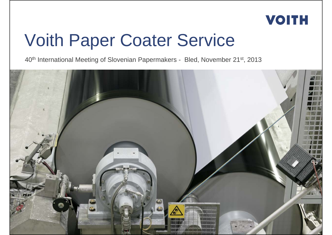

## Voith Paper Coater Service

40th International Meeting of Slovenian Papermakers - Bled, November 21st, 2013

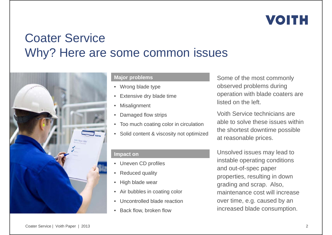### Coater ServiceWhy? Here are some common issues



#### **Major problems**

- Wrong blade type
- •Extensive dry blade time
- •Misalignment
- •Damaged flow strips
- Too much coating color in circulation
- Solid content & viscosity not optimized

**Impact on**

- Uneven CD profiles
- •Reduced quality
- •High blade wear
- Air bubbles in coating color
- •Uncontrolled blade reaction
- Back flow, broken flow

Some of the most commonly observed problems during operation with blade coaters are listed on the left.

Voith Service technicians are able to solve these issues within the shortest downtime possible at reasonable prices.

Unsolved issues may lead to instable operating conditions and out-of-spec paper properties, resulting in down grading and scrap. Also, maintenance cost will increase over time, e.g. caused by an increased blade consumption.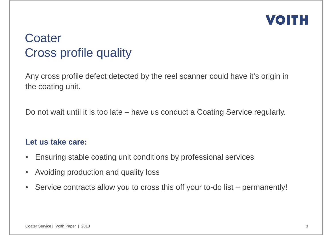

#### **Coater** Cross profile quality

Any cross profile defect detected by the reel scanner could have it's origin in the coating unit.

Do not wait until it is too late – have us conduct a Coating Service regularly.

#### **Let us take care:**

- $\bullet$ Ensuring stable coating unit conditions by professional services
- •Avoiding production and quality loss
- $\bullet$ Service contracts allow you to cross this off your to-do list – permanently!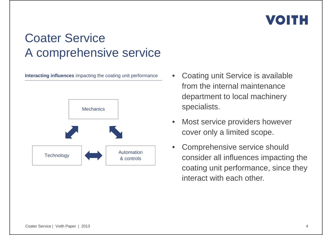

#### Coater ServiceA comprehensive service

**Interacting influences** impacting the coating unit performance



- • Coating unit Service is available from the internal maintenance department to local machinery specialists.
- • Most service providers however cover only a limited scope.
- • Comprehensive service should consider all influences impacting the coating unit performance, since they interact with each other.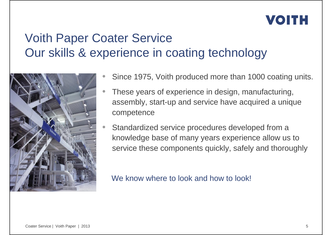### Voith Paper Coater Service Our skills & experience in coating technology



- $\bullet$ Since 1975, Voith produced more than 1000 coating units.
- $\bullet$  These years of experience in design, manufacturing, assembly, start-up and service have acquired a unique competence
- $\bullet$  Standardized service procedures developed from a knowledge base of many years experience allow us to service these components quickly, safely and thoroughly

We know where to look and how to look!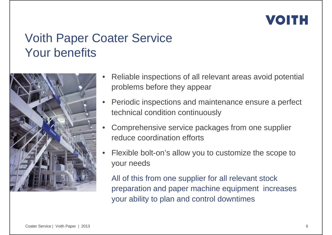#### Voith Paper Coater Service Your benefits



- • Reliable inspections of all relevant areas avoid potential problems before they appear
- • Periodic inspections and maintenance ensure a perfect technical condition continuously
- • Comprehensive service packages from one supplier reduce coordination efforts
- • Flexible bolt-on's allow you to customize the scope to your needs

All of this from one supplier for all relevant stock preparation and paper machine equipment increases your ability to plan and control downtimes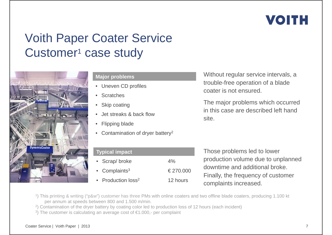### Voith Paper Coater Service Customer<sup>1</sup> case study



#### **Major problems**

- Uneven CD profiles
- Scratches
- Skip coating
- Jet streaks & back flow
- Flipping blade
- Contamination of dryer battery<sup>2</sup>

| <b>Typical impact</b>          |           |  |
|--------------------------------|-----------|--|
| • Scrap/broke                  | $4\%$     |  |
| • Complaints $3$               | € 270,000 |  |
| • Production loss <sup>2</sup> | 12 hours  |  |

Without regular service intervals, a trouble-free operation of a blade coater is not ensured.

The major problems which occurred in this case are described left hand site.

Those problems led to lower production volume due to unplanned downtime and additional broke. Finally, the frequency of customer complaints increased.

1) This printing & writing ("p&w") customer has three PMs with online coaters and two offline blade coaters, producing 1.100 kt per annum at speeds between 800 and 1.500 m/min.

- <sup>2</sup>) Contamination of the dryer battery by coating color led to production loss of 12 hours (each incident)
- <sup>3</sup>) The customer is calculating an average cost of €1.000,- per complaint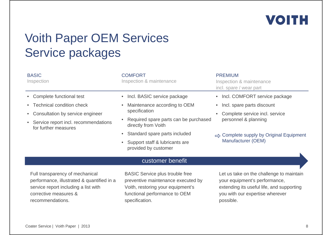

### Voith Paper OEM Services Service packages

| <b>BASIC</b><br>Inspection                                                                                            | <b>COMFORT</b><br>Inspection & maintenance                                                                        | <b>PREMIUM</b><br>Inspection & maintenance<br>incl. spare / wear part                                                  |
|-----------------------------------------------------------------------------------------------------------------------|-------------------------------------------------------------------------------------------------------------------|------------------------------------------------------------------------------------------------------------------------|
| Complete functional test                                                                                              | Incl. BASIC service package                                                                                       | Incl. COMFORT service package                                                                                          |
| <b>Technical condition check</b><br>$\bullet$                                                                         | Maintenance according to OEM<br>$\bullet$                                                                         | Incl. spare parts discount                                                                                             |
| Consultation by service engineer                                                                                      | specification                                                                                                     | Complete service incl. service                                                                                         |
| Service report incl. recommendations<br>$\bullet$<br>for further measures                                             | Required spare parts can be purchased<br>directly from Voith                                                      | personnel & planning                                                                                                   |
|                                                                                                                       | Standard spare parts included<br>$\bullet$                                                                        | $\Rightarrow$ Complete supply by Original Equipment                                                                    |
|                                                                                                                       | Support staff & lubricants are<br>provided by customer                                                            | Manufacturer (OEM)                                                                                                     |
|                                                                                                                       | customer benefit                                                                                                  |                                                                                                                        |
| Full transparency of mechanical<br>performance, illustrated & quantified in a<br>service report including a list with | <b>BASIC Service plus trouble free</b><br>preventive maintenance executed by<br>Voith, restoring your equipment's | Let us take on the challenge to maintain<br>your equipment's performance,<br>extending its useful life, and supporting |

functional performance to OEM

specification.

#### Coater Service | Voith Paper | 2013

corrective measures & recommendations.

8

you with our expertise wherever

possible.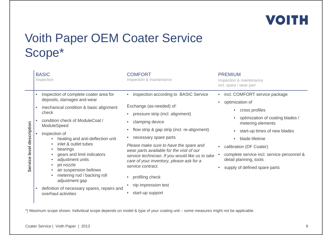

### Voith Paper OEM Coater Service Scope\*

|                                 | <b>BASIC</b><br>Inspection                                                                                                                                                                                                                                                                                                                                                                                                                                                                                         | <b>COMFORT</b><br>Inspection & maintenance                                                                                                                                                                                                                                                                                                                                                                                                                                   | <b>PREMIUM</b><br>Inspection & maintenance<br>incl. spare / wear part                                                                                                                                                                                                                                               |
|---------------------------------|--------------------------------------------------------------------------------------------------------------------------------------------------------------------------------------------------------------------------------------------------------------------------------------------------------------------------------------------------------------------------------------------------------------------------------------------------------------------------------------------------------------------|------------------------------------------------------------------------------------------------------------------------------------------------------------------------------------------------------------------------------------------------------------------------------------------------------------------------------------------------------------------------------------------------------------------------------------------------------------------------------|---------------------------------------------------------------------------------------------------------------------------------------------------------------------------------------------------------------------------------------------------------------------------------------------------------------------|
| description<br>level<br>Service | inspection of complete coater area for<br>deposits, damages and wear<br>mechanical condition & basic alignment<br>$\bullet$<br>check<br>condition check of ModuleCoat /<br>ModuleSpeed<br>inspection of<br>heating and anti-deflection unit<br>inlet & outlet tubes<br>bearings<br>gears and limit indicators<br>adjustment units<br>jet nozzle<br>$\bullet$<br>air suspension bellows<br>metering rod / backing roll<br>adjustment gap<br>definition of necessary spares, repairs and<br>٠<br>overhaul activities | • inspection according to BASIC Service<br>Exchange (as-needed) of:<br>pressure strip (incl. alignment)<br>clamping device<br>flow strip & gap strip (incl. re-alignment)<br>necessary spare parts<br>Please make sure to have the spare and<br>wear parts available for the visit of our<br>service technician. If you would like us to take<br>care of your inventory, please ask for a<br>service contract.<br>profiling check<br>nip impression test<br>start-up support | • incl. COMFORT service package<br>optimization of<br>cross profiles<br>optimization of coating blades /<br>metering elements<br>start-up times of new blades<br>blade lifetime<br>calibration (DF Coater)<br>complete service incl. service personnel &<br>detail planning, tools<br>supply of defined spare parts |

\*) Maximum scope shown. Individual scope depends on model & type of your coating unit – some measures might not be applicable.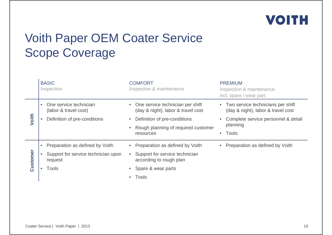

### Voith Paper OEM Coater Service Scope Coverage

|          | <b>BASIC</b><br>Inspection                                                                   | <b>COMFORT</b><br>Inspection & maintenance                                                                                                                   | <b>PREMIUM</b><br>Inspection & maintenance<br>incl. spare / wear part                                                                   |
|----------|----------------------------------------------------------------------------------------------|--------------------------------------------------------------------------------------------------------------------------------------------------------------|-----------------------------------------------------------------------------------------------------------------------------------------|
| Voith    | One service technician<br>$\bullet$<br>(labor & travel cost)<br>Definition of pre-conditions | • One service technician per shift<br>(day & night), labor & travel cost<br>Definition of pre-conditions<br>Rough planning of required customer<br>resources | • Two service technicians per shift<br>(day & night), labor & travel cost<br>Complete service personnel & detail<br>planning<br>• Tools |
| Customer | Preparation as defined by Voith<br>Support for service technician upon<br>request<br>Tools   | Preparation as defined by Voith<br>Support for service technician<br>according to rough plan<br>Spare & wear parts<br>Tools                                  | Preparation as defined by Voith                                                                                                         |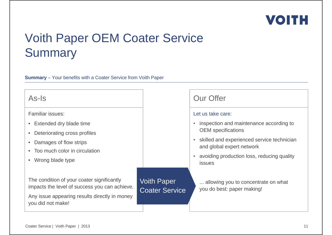### Voith Paper OEM Coater Service **Summary**

#### **Summary** – Your benefits with a Coater Service from Voith Paper

#### As-Is

Familiar issues:

- Extended dry blade time
- Deteriorating cross profiles
- Damages of flow strips
- Too much color in circulation
- Wrong blade type

The condition of your coater significantly impacts the level of success you can achieve.

Any issue appearing results directly in money you did not make!

Voith Paper Coater Service

| <b>Our Offer</b>  |                                                                           |
|-------------------|---------------------------------------------------------------------------|
| Let us take care: |                                                                           |
|                   | • inspection and maintenance according to<br><b>OEM</b> specifications    |
|                   | • skilled and experienced service technician<br>and global expert network |
|                   | avoiding production loss, reducing quality<br>issues                      |
|                   | allowing you to concentrate on what<br>you do best: paper making!         |